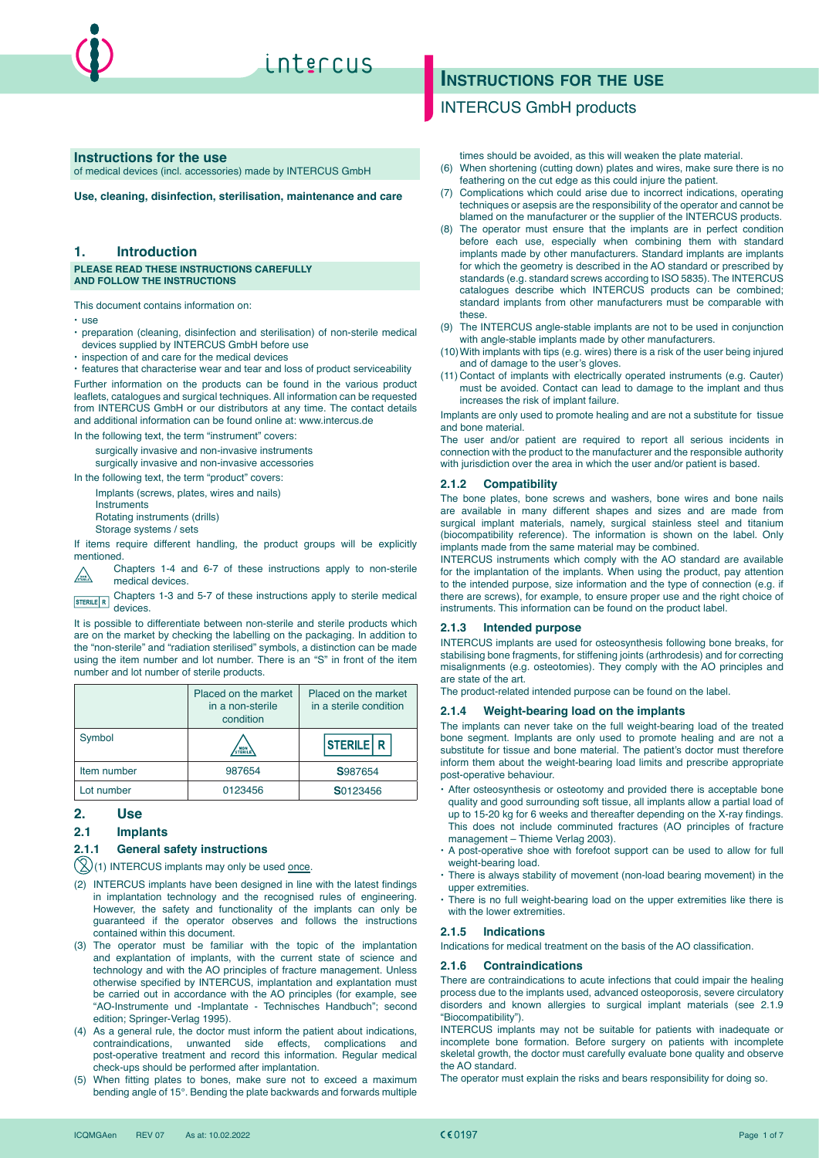

#### **Instructions for the use**

of medical devices (incl. accessories) made by INTERCUS GmbH

**Use, cleaning, disinfection, sterilisation, maintenance and care**

### **1. Introduction**

#### **PLEASE READ THESE INSTRUCTIONS CAREFULLY AND FOLLOW THE INSTRUCTIONS**

This document contains information on:

- $\cdot$  use
- x preparation (cleaning, disinfection and sterilisation) of non-sterile medical devices supplied by INTERCUS GmbH before use
- $\cdot$  inspection of and care for the medical devices

 $\cdot$  features that characterise wear and tear and loss of product serviceability Further information on the products can be found in the various product leaflets, catalogues and surgical techniques. All information can be requested from INTERCUS GmbH or our distributors at any time. The contact details and additional information can be found online at: www.intercus.de

In the following text, the term "instrument" covers:

surgically invasive and non-invasive instruments surgically invasive and non-invasive accessories

In the following text, the term "product" covers:

Implants (screws, plates, wires and nails)

**Instruments** 

Rotating instruments (drills)

Storage systems / sets

If items require different handling, the product groups will be explicitly mentioned.

Chapters 1-4 and 6-7 of these instructions apply to non-sterile  $\sqrt{\frac{1}{5TEML}}$ medical devices.

Chapters 1-3 and 5-7 of these instructions apply to sterile medical STERILE R UTTAPION

It is possible to differentiate between non-sterile and sterile products which are on the market by checking the labelling on the packaging. In addition to the "non-sterile" and "radiation sterilised" symbols, a distinction can be made using the item number and lot number. There is an "S" in front of the item number and lot number of sterile products.

|             | Placed on the market<br>in a non-sterile<br>condition | Placed on the market<br>in a sterile condition |
|-------------|-------------------------------------------------------|------------------------------------------------|
| Symbol      | / NON<br>STERIL                                       | <b>STERILE R</b>                               |
| Item number | 987654                                                | S987654                                        |
| Lot number  | 0123456                                               | S0123456                                       |

#### **2. Use**

#### **2.1 Implants**

#### **2.1.1 General safety instructions**

 $(2)(1)$  INTERCUS implants may only be used once.

- (2) INTERCUS implants have been designed in line with the latest findings in implantation technology and the recognised rules of engineering. However, the safety and functionality of the implants can only be guaranteed if the operator observes and follows the instructions contained within this document.
- (3) The operator must be familiar with the topic of the implantation and explantation of implants, with the current state of science and technology and with the AO principles of fracture management. Unless otherwise specified by INTERCUS, implantation and explantation must be carried out in accordance with the AO principles (for example, see "AO-Instrumente und -Implantate - Technisches Handbuch"; second edition; Springer-Verlag 1995).
- (4) As a general rule, the doctor must inform the patient about indications, contraindications, unwanted side effects, complications and post-operative treatment and record this information. Regular medical check-ups should be performed after implantation.
- (5) When fitting plates to bones, make sure not to exceed a maximum bending angle of 15°. Bending the plate backwards and forwards multiple

# **INSTRUCTIONS FOR THE USE**

## INTERCUS GmbH products

times should be avoided, as this will weaken the plate material.

- (6) When shortening (cutting down) plates and wires, make sure there is no feathering on the cut edge as this could injure the patient.
- (7) Complications which could arise due to incorrect indications, operating techniques or asepsis are the responsibility of the operator and cannot be blamed on the manufacturer or the supplier of the INTERCUS products.
- (8) The operator must ensure that the implants are in perfect condition before each use, especially when combining them with standard implants made by other manufacturers. Standard implants are implants for which the geometry is described in the AO standard or prescribed by standards (e.g. standard screws according to ISO 5835). The INTERCUS catalogues describe which INTERCUS products can be combined; standard implants from other manufacturers must be comparable with these.
- (9) The INTERCUS angle-stable implants are not to be used in conjunction with angle-stable implants made by other manufacturers.
- (10) With implants with tips (e.g. wires) there is a risk of the user being injured and of damage to the user's gloves.
- (11) Contact of implants with electrically operated instruments (e.g. Cauter) must be avoided. Contact can lead to damage to the implant and thus increases the risk of implant failure.

Implants are only used to promote healing and are not a substitute for tissue and bone material.

The user and/or patient are required to report all serious incidents in connection with the product to the manufacturer and the responsible authority with jurisdiction over the area in which the user and/or patient is based.

#### **2.1.2 Compatibility**

The bone plates, bone screws and washers, bone wires and bone nails are available in many different shapes and sizes and are made from surgical implant materials, namely, surgical stainless steel and titanium (biocompatibility reference). The information is shown on the label. Only implants made from the same material may be combined.

INTERCUS instruments which comply with the AO standard are available for the implantation of the implants. When using the product, pay attention to the intended purpose, size information and the type of connection (e.g. if there are screws), for example, to ensure proper use and the right choice of instruments. This information can be found on the product label.

#### **2.1.3 Intended purpose**

INTERCUS implants are used for osteosynthesis following bone breaks, for stabilising bone fragments, for stiffening joints (arthrodesis) and for correcting misalignments (e.g. osteotomies). They comply with the AO principles and are state of the art.

The product-related intended purpose can be found on the label.

#### **2.1.4 Weight-bearing load on the implants**

The implants can never take on the full weight-bearing load of the treated bone segment. Implants are only used to promote healing and are not a substitute for tissue and bone material. The patient's doctor must therefore inform them about the weight-bearing load limits and prescribe appropriate post-operative behaviour.

- · After osteosynthesis or osteotomy and provided there is acceptable bone quality and good surrounding soft tissue, all implants allow a partial load of up to 15-20 kg for 6 weeks and thereafter depending on the X-ray findings. This does not include comminuted fractures (AO principles of fracture management – Thieme Verlag 2003).
- · A post-operative shoe with forefoot support can be used to allow for full weight-bearing load.
- $\cdot$  There is always stability of movement (non-load bearing movement) in the upper extremities.
- $\cdot$  There is no full weight-bearing load on the upper extremities like there is with the lower extremities.

#### **2.1.5 Indications**

Indications for medical treatment on the basis of the AO classification.

#### **2.1.6 Contraindications**

There are contraindications to acute infections that could impair the healing process due to the implants used, advanced osteoporosis, severe circulatory disorders and known allergies to surgical implant materials (see 2.1.9 "Biocompatibility").

INTERCUS implants may not be suitable for patients with inadequate or incomplete bone formation. Before surgery on patients with incomplete skeletal growth, the doctor must carefully evaluate bone quality and observe the AO standard.

The operator must explain the risks and bears responsibility for doing so.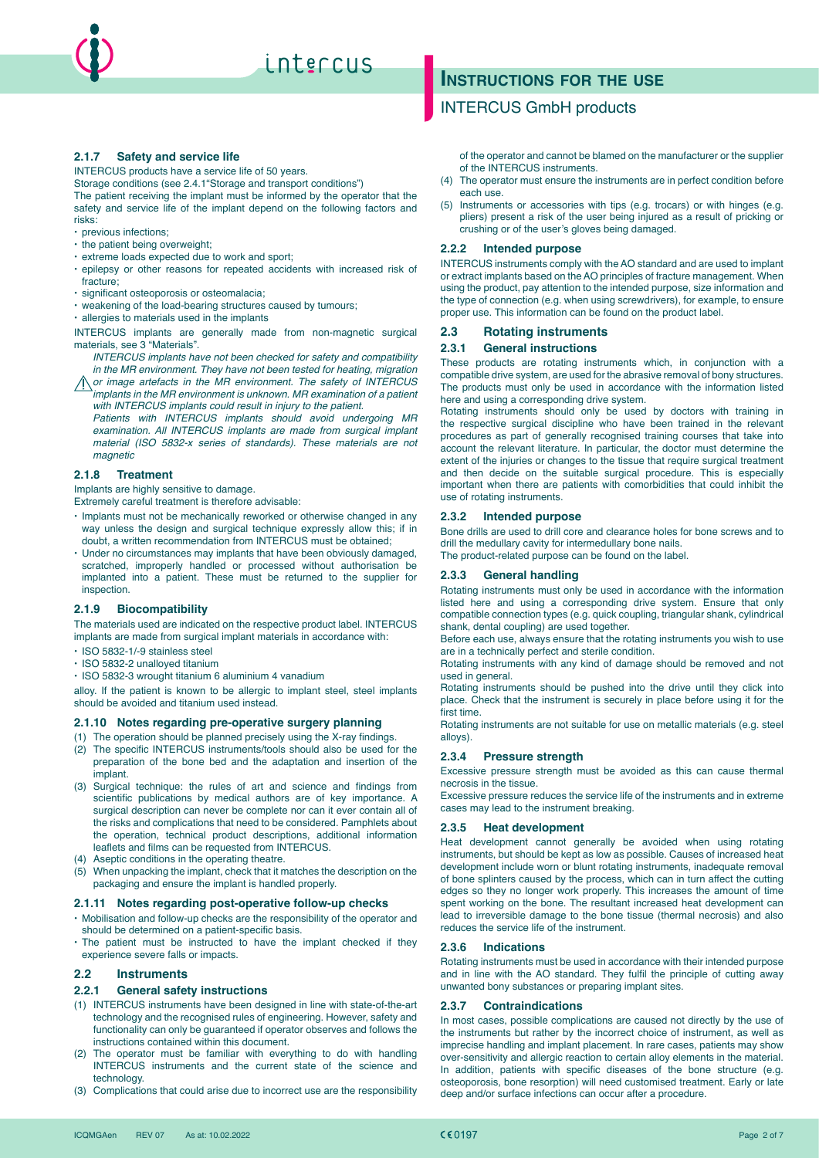

#### **2.1.7 Safety and service life**

INTERCUS products have a service life of 50 years.

Storage conditions (see 2.4.1"Storage and transport conditions") The patient receiving the implant must be informed by the operator that the safety and service life of the implant depend on the following factors and risks:

- x previous infections;
- $\cdot$  the patient being overweight;
- $\cdot$  extreme loads expected due to work and sport;
- epilepsy or other reasons for repeated accidents with increased risk of fracture;
- $\cdot$  significant osteoporosis or osteomalacia;
- $\cdot$  weakening of the load-bearing structures caused by tumours;

 $\cdot$  allergies to materials used in the implants

INTERCUS implants are generally made from non-magnetic surgical materials, see 3 "Materials".

- *INTERCUS implants have not been checked for safety and compatibility in the MR environment. They have not been tested for heating, migration*
- *or image artefacts in the MR environment. The safety of INTERCUS implants in the MR environment is unknown. MR examination of a patient with INTERCUS implants could result in injury to the patient.*

*Patients with INTERCUS implants should avoid undergoing MR examination. All INTERCUS implants are made from surgical implant material (ISO 5832-x series of standards). These materials are not magnetic*

#### **2.1.8 Treatment**

Implants are highly sensitive to damage.

Extremely careful treatment is therefore advisable:

- x Implants must not be mechanically reworked or otherwise changed in any way unless the design and surgical technique expressly allow this; if in doubt, a written recommendation from INTERCUS must be obtained;
- x Under no circumstances may implants that have been obviously damaged, scratched, improperly handled or processed without authorisation be implanted into a patient. These must be returned to the supplier for inspection.

#### **2.1.9 Biocompatibility**

The materials used are indicated on the respective product label. INTERCUS implants are made from surgical implant materials in accordance with:

- x ISO 5832-1/-9 stainless steel
- x ISO 5832-2 unalloyed titanium
- x ISO 5832-3 wrought titanium 6 aluminium 4 vanadium

alloy. If the patient is known to be allergic to implant steel, steel implants should be avoided and titanium used instead.

#### **2.1.10 Notes regarding pre-operative surgery planning**

- (1) The operation should be planned precisely using the X-ray findings. (2) The specific INTERCUS instruments/tools should also be used for the preparation of the bone bed and the adaptation and insertion of the implant.
- (3) Surgical technique: the rules of art and science and findings from scientific publications by medical authors are of key importance. A surgical description can never be complete nor can it ever contain all of the risks and complications that need to be considered. Pamphlets about the operation, technical product descriptions, additional information leaflets and films can be requested from INTERCUS.
- (4) Aseptic conditions in the operating theatre.
- (5) When unpacking the implant, check that it matches the description on the packaging and ensure the implant is handled properly.

#### **2.1.11 Notes regarding post-operative follow-up checks**

- x Mobilisation and follow-up checks are the responsibility of the operator and should be determined on a patient-specific basis.
- $\cdot$  The patient must be instructed to have the implant checked if they experience severe falls or impacts.

#### **2.2 Instruments**

#### **2.2.1 General safety instructions**

- (1) INTERCUS instruments have been designed in line with state-of-the-art technology and the recognised rules of engineering. However, safety and functionality can only be guaranteed if operator observes and follows the instructions contained within this document.
- (2) The operator must be familiar with everything to do with handling INTERCUS instruments and the current state of the science and technology.
- (3) Complications that could arise due to incorrect use are the responsibility

# **Instructions for the use**

## INTERCUS GmbH products

of the operator and cannot be blamed on the manufacturer or the supplier of the INTERCUS instruments.

- (4) The operator must ensure the instruments are in perfect condition before each use.
- (5) Instruments or accessories with tips (e.g. trocars) or with hinges (e.g. pliers) present a risk of the user being injured as a result of pricking or crushing or of the user's gloves being damaged.

#### **2.2.2 Intended purpose**

INTERCUS instruments comply with the AO standard and are used to implant or extract implants based on the AO principles of fracture management. When using the product, pay attention to the intended purpose, size information and the type of connection (e.g. when using screwdrivers), for example, to ensure proper use. This information can be found on the product label.

#### **2.3 Rotating instruments**

#### **2.3.1 General instructions**

These products are rotating instruments which, in conjunction with a compatible drive system, are used for the abrasive removal of bony structures. The products must only be used in accordance with the information listed here and using a corresponding drive system.

Rotating instruments should only be used by doctors with training in the respective surgical discipline who have been trained in the relevant procedures as part of generally recognised training courses that take into account the relevant literature. In particular, the doctor must determine the extent of the injuries or changes to the tissue that require surgical treatment and then decide on the suitable surgical procedure. This is especially important when there are patients with comorbidities that could inhibit the use of rotating instruments.

#### **2.3.2 Intended purpose**

Bone drills are used to drill core and clearance holes for bone screws and to drill the medullary cavity for intermedullary bone nails.

The product-related purpose can be found on the label.

#### **2.3.3 General handling**

Rotating instruments must only be used in accordance with the information listed here and using a corresponding drive system. Ensure that only compatible connection types (e.g. quick coupling, triangular shank, cylindrical shank, dental coupling) are used together.

Before each use, always ensure that the rotating instruments you wish to use are in a technically perfect and sterile condition.

Rotating instruments with any kind of damage should be removed and not used in general.

Rotating instruments should be pushed into the drive until they click into place. Check that the instrument is securely in place before using it for the first time.

Rotating instruments are not suitable for use on metallic materials (e.g. steel alloys).

#### **2.3.4 Pressure strength**

Excessive pressure strength must be avoided as this can cause thermal necrosis in the tissue.

Excessive pressure reduces the service life of the instruments and in extreme cases may lead to the instrument breaking.

#### **2.3.5 Heat development**

Heat development cannot generally be avoided when using rotating instruments, but should be kept as low as possible. Causes of increased heat development include worn or blunt rotating instruments, inadequate removal of bone splinters caused by the process, which can in turn affect the cutting edges so they no longer work properly. This increases the amount of time spent working on the bone. The resultant increased heat development can lead to irreversible damage to the bone tissue (thermal necrosis) and also reduces the service life of the instrument.

#### **2.3.6 Indications**

Rotating instruments must be used in accordance with their intended purpose and in line with the AO standard. They fulfil the principle of cutting away unwanted bony substances or preparing implant sites.

#### **2.3.7 Contraindications**

In most cases, possible complications are caused not directly by the use of the instruments but rather by the incorrect choice of instrument, as well as imprecise handling and implant placement. In rare cases, patients may show over-sensitivity and allergic reaction to certain alloy elements in the material. In addition, patients with specific diseases of the bone structure (e.g. osteoporosis, bone resorption) will need customised treatment. Early or late deep and/or surface infections can occur after a procedure.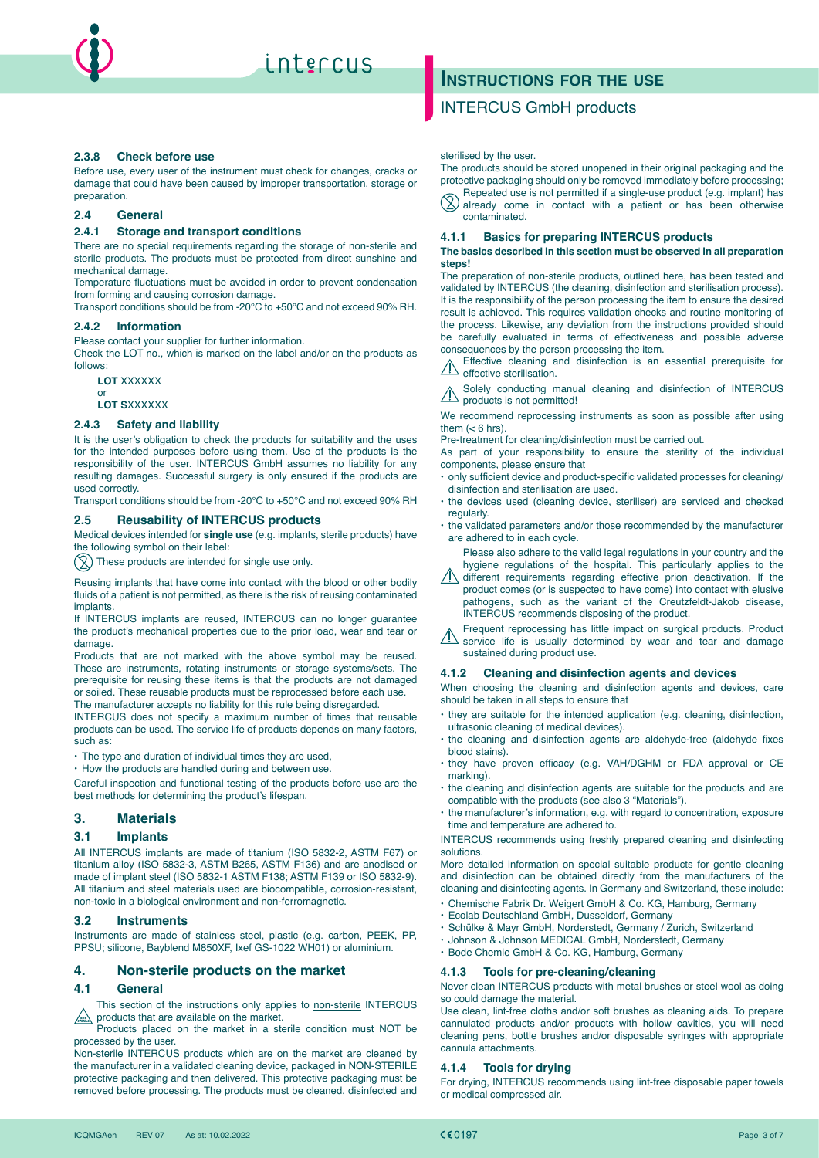

#### **2.3.8 Check before use**

Before use, every user of the instrument must check for changes, cracks or damage that could have been caused by improper transportation, storage or preparation.

#### **2.4 General**

#### **2.4.1 Storage and transport conditions**

There are no special requirements regarding the storage of non-sterile and sterile products. The products must be protected from direct sunshine and mechanical damage.

Temperature fluctuations must be avoided in order to prevent condensation from forming and causing corrosion damage.

Transport conditions should be from -20°C to +50°C and not exceed 90% RH.

#### **2.4.2 Information**

Please contact your supplier for further information.

Check the LOT no., which is marked on the label and/or on the products as follows:

**LOT** XXXXXX

or **LOT S**XXXXXX

#### **2.4.3 Safety and liability**

It is the user's obligation to check the products for suitability and the uses for the intended purposes before using them. Use of the products is the responsibility of the user. INTERCUS GmbH assumes no liability for any resulting damages. Successful surgery is only ensured if the products are used correctly.

Transport conditions should be from -20°C to +50°C and not exceed 90% RH

#### **2.5 Reusability of INTERCUS products**

Medical devices intended for **single use** (e.g. implants, sterile products) have the following symbol on their label:

 $\left(\bigtimes\right)$  These products are intended for single use only.

Reusing implants that have come into contact with the blood or other bodily fluids of a patient is not permitted, as there is the risk of reusing contaminated implants.

If INTERCUS implants are reused, INTERCUS can no longer guarantee the product's mechanical properties due to the prior load, wear and tear or damage.

Products that are not marked with the above symbol may be reused. These are instruments, rotating instruments or storage systems/sets. The prerequisite for reusing these items is that the products are not damaged or soiled. These reusable products must be reprocessed before each use. The manufacturer accepts no liability for this rule being disregarded.

INTERCUS does not specify a maximum number of times that reusable products can be used. The service life of products depends on many factors, such as

 $\cdot$  The type and duration of individual times they are used,

 $\cdot$  How the products are handled during and between use.

Careful inspection and functional testing of the products before use are the best methods for determining the product's lifespan.

## **3. Materials**

#### **3.1 Implants**

All INTERCUS implants are made of titanium (ISO 5832-2, ASTM F67) or titanium alloy (ISO 5832-3, ASTM B265, ASTM F136) and are anodised or made of implant steel (ISO 5832-1 ASTM F138; ASTM F139 or ISO 5832-9). All titanium and steel materials used are biocompatible, corrosion-resistant, non-toxic in a biological environment and non-ferromagnetic.

#### **3.2 Instruments**

Instruments are made of stainless steel, plastic (e.g. carbon, PEEK, PP, PPSU; silicone, Bayblend M850XF, Ixef GS-1022 WH01) or aluminium.

#### **4. Non-sterile products on the market**

#### **4.1 General**

This section of the instructions only applies to non-sterile INTERCUS  $\sqrt{\frac{m}{m}}$  products that are available on the market.

Products placed on the market in a sterile condition must NOT be processed by the user.

Non-sterile INTERCUS products which are on the market are cleaned by the manufacturer in a validated cleaning device, packaged in NON-STERILE protective packaging and then delivered. This protective packaging must be removed before processing. The products must be cleaned, disinfected and

# **Instructions for the use**

## INTERCUS GmbH products

sterilised by the user.

The products should be stored unopened in their original packaging and the protective packaging should only be removed immediately before processing; Repeated use is not permitted if a single-use product (e.g. implant) has

 $\sqrt{2}$  already come in contact with a patient or has been otherwise contaminated.

#### **4.1.1 Basics for preparing INTERCUS products**

**The basics described in this section must be observed in all preparation steps!**

The preparation of non-sterile products, outlined here, has been tested and validated by INTERCUS (the cleaning, disinfection and sterilisation process). It is the responsibility of the person processing the item to ensure the desired result is achieved. This requires validation checks and routine monitoring of the process. Likewise, any deviation from the instructions provided should be carefully evaluated in terms of effectiveness and possible adverse consequences by the person processing the item.

Effective cleaning and disinfection is an essential prerequisite for  $\sqrt{N}$ effective sterilisation.

Solely conducting manual cleaning and disinfection of INTERCUS products is not permitted!

We recommend reprocessing instruments as soon as possible after using them  $(< 6$  hrs).

Pre-treatment for cleaning/disinfection must be carried out.

As part of your responsibility to ensure the sterility of the individual components, please ensure that

- $\cdot$  only sufficient device and product-specific validated processes for cleaning/ disinfection and sterilisation are used.
- the devices used (cleaning device, steriliser) are serviced and checked regularly.
- $\cdot$  the validated parameters and/or those recommended by the manufacturer are adhered to in each cycle.

Please also adhere to the valid legal regulations in your country and the hygiene regulations of the hospital. This particularly applies to the

 $\sqrt{ }$  different requirements regarding effective prion deactivation. If the product comes (or is suspected to have come) into contact with elusive pathogens, such as the variant of the Creutzfeldt-Jakob disease, INTERCUS recommends disposing of the product.

Frequent reprocessing has little impact on surgical products. Product service life is usually determined by wear and tear and damage sustained during product use.

#### **4.1.2 Cleaning and disinfection agents and devices**

When choosing the cleaning and disinfection agents and devices, care should be taken in all steps to ensure that

- $\cdot$  they are suitable for the intended application (e.g. cleaning, disinfection, ultrasonic cleaning of medical devices).
- the cleaning and disinfection agents are aldehyde-free (aldehyde fixes blood stains).
- $\cdot$  they have proven efficacy (e.g. VAH/DGHM or FDA approval or CE marking).
- $\cdot$  the cleaning and disinfection agents are suitable for the products and are compatible with the products (see also 3 "Materials").
- $\cdot$  the manufacturer's information, e.g. with regard to concentration, exposure time and temperature are adhered to.

INTERCUS recommends using freshly prepared cleaning and disinfecting solutions.

More detailed information on special suitable products for gentle cleaning and disinfection can be obtained directly from the manufacturers of the cleaning and disinfecting agents. In Germany and Switzerland, these include:

- x Chemische Fabrik Dr. Weigert GmbH & Co. KG, Hamburg, Germany
- x Ecolab Deutschland GmbH, Dusseldorf, Germany
- x Schülke & Mayr GmbH, Norderstedt, Germany / Zurich, Switzerland
- x Johnson & Johnson MEDICAL GmbH, Norderstedt, Germany
- x Bode Chemie GmbH & Co. KG, Hamburg, Germany

#### **4.1.3 Tools for pre-cleaning/cleaning**

Never clean INTERCUS products with metal brushes or steel wool as doing so could damage the material.

Use clean, lint-free cloths and/or soft brushes as cleaning aids. To prepare cannulated products and/or products with hollow cavities, you will need cleaning pens, bottle brushes and/or disposable syringes with appropriate cannula attachments.

#### **4.1.4 Tools for drying**

For drying, INTERCUS recommends using lint-free disposable paper towels or medical compressed air.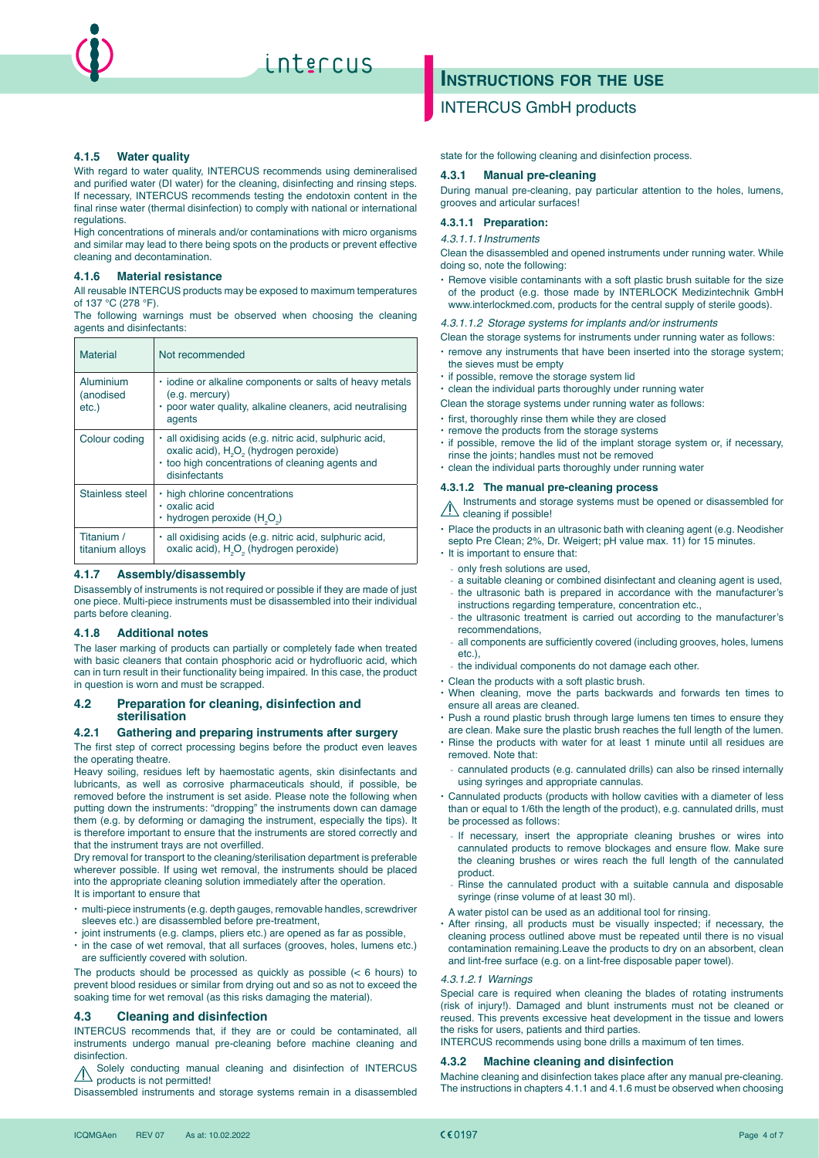

#### **4.1.5 Water quality**

With regard to water quality, INTERCUS recommends using demineralised and purified water (DI water) for the cleaning, disinfecting and rinsing steps. If necessary, INTERCUS recommends testing the endotoxin content in the final rinse water (thermal disinfection) to comply with national or international regulations.

High concentrations of minerals and/or contaminations with micro organisms and similar may lead to there being spots on the products or prevent effective cleaning and decontamination.

#### **4.1.6 Material resistance**

All reusable INTERCUS products may be exposed to maximum temperatures of 137 °C (278 °F).

The following warnings must be observed when choosing the cleaning agents and disinfectants:

| <b>Material</b>                    | Not recommended                                                                                                                                                                                  |
|------------------------------------|--------------------------------------------------------------------------------------------------------------------------------------------------------------------------------------------------|
| Aluminium<br>(anodised<br>$etc.$ ) | . iodine or alkaline components or salts of heavy metals<br>$(e.q.$ mercury $)$<br>· poor water quality, alkaline cleaners, acid neutralising<br>agents                                          |
| Colour coding                      | · all oxidising acids (e.g. nitric acid, sulphuric acid,<br>oxalic acid), H <sub>2</sub> O <sub>2</sub> (hydrogen peroxide)<br>• too high concentrations of cleaning agents and<br>disinfectants |
| Stainless steel                    | . high chlorine concentrations<br>· oxalic acid<br>$\cdot$ hydrogen peroxide (H <sub>2</sub> O <sub>2</sub> )                                                                                    |
| Titanium /<br>titanium alloys      | · all oxidising acids (e.g. nitric acid, sulphuric acid,<br>oxalic acid), H <sub>2</sub> O <sub>2</sub> (hydrogen peroxide)                                                                      |

#### **4.1.7 Assembly/disassembly**

Disassembly of instruments is not required or possible if they are made of just one piece. Multi-piece instruments must be disassembled into their individual parts before cleaning.

#### **4.1.8 Additional notes**

The laser marking of products can partially or completely fade when treated with basic cleaners that contain phosphoric acid or hydrofluoric acid, which can in turn result in their functionality being impaired. In this case, the product in question is worn and must be scrapped.

#### **4.2 Preparation for cleaning, disinfection and sterilisation**

#### **4.2.1 Gathering and preparing instruments after surgery**

The first step of correct processing begins before the product even leaves the operating theatre.

Heavy soiling, residues left by haemostatic agents, skin disinfectants and lubricants, as well as corrosive pharmaceuticals should, if possible, be removed before the instrument is set aside. Please note the following when putting down the instruments: "dropping" the instruments down can damage them (e.g. by deforming or damaging the instrument, especially the tips). It is therefore important to ensure that the instruments are stored correctly and that the instrument trays are not overfilled.

Dry removal for transport to the cleaning/sterilisation department is preferable wherever possible. If using wet removal, the instruments should be placed into the appropriate cleaning solution immediately after the operation. It is important to ensure that

- $\cdot$  multi-piece instruments (e.g. depth gauges, removable handles, screwdriver sleeves etc.) are disassembled before pre-treatment,
- joint instruments (e.g. clamps, pliers etc.) are opened as far as possible,
- $\cdot$  in the case of wet removal, that all surfaces (grooves, holes, lumens etc.) are sufficiently covered with solution.

The products should be processed as quickly as possible  $(< 6$  hours) to prevent blood residues or similar from drying out and so as not to exceed the soaking time for wet removal (as this risks damaging the material).

#### **4.3 Cleaning and disinfection**

INTERCUS recommends that, if they are or could be contaminated, all instruments undergo manual pre-cleaning before machine cleaning and disinfection.

Solely conducting manual cleaning and disinfection of INTERCUS products is not permitted!

Disassembled instruments and storage systems remain in a disassembled

# **Instructions for the use**

## INTERCUS GmbH products

state for the following cleaning and disinfection process.

#### **4.3.1 Manual pre-cleaning**

During manual pre-cleaning, pay particular attention to the holes, lumens, grooves and articular surfaces!

#### **4.3.1.1 Preparation:**

#### *4.3.1.1.1Instruments*

Clean the disassembled and opened instruments under running water. While doing so, note the following:

 $\cdot$  Remove visible contaminants with a soft plastic brush suitable for the size of the product (e.g. those made by INTERLOCK Medizintechnik GmbH www.interlockmed.com, products for the central supply of sterile goods).

#### *4.3.1.1.2 Storage systems for implants and/or instruments*

- Clean the storage systems for instruments under running water as follows:
- $\cdot$  remove any instruments that have been inserted into the storage system; the sieves must be empty
- $\cdot$  if possible, remove the storage system lid
- $\cdot$  clean the individual parts thoroughly under running water
- Clean the storage systems under running water as follows:
- $\cdot$  first, thoroughly rinse them while they are closed
- $\cdot$  remove the products from the storage systems
- $\cdot$  if possible, remove the lid of the implant storage system or, if necessary,
- rinse the joints; handles must not be removed
- x clean the individual parts thoroughly under running water

#### **4.3.1.2 The manual pre-cleaning process**

Instruments and storage systems must be opened or disassembled for Cleaning if possible!

• Place the products in an ultrasonic bath with cleaning agent (e.g. Neodisher septo Pre Clean; 2%, Dr. Weigert; pH value max. 11) for 15 minutes.

- $\cdot$  It is important to ensure that:
- only fresh solutions are used,
- a suitable cleaning or combined disinfectant and cleaning agent is used,
- the ultrasonic bath is prepared in accordance with the manufacturer's instructions regarding temperature, concentration etc.
- the ultrasonic treatment is carried out according to the manufacturer's recommendations,
- all components are sufficiently covered (including grooves, holes, lumens etc.),
- the individual components do not damage each other.
- Clean the products with a soft plastic brush.
- · When cleaning, move the parts backwards and forwards ten times to ensure all areas are cleaned.
- Push a round plastic brush through large lumens ten times to ensure they are clean. Make sure the plastic brush reaches the full length of the lumen.
- x Rinse the products with water for at least 1 minute until all residues are removed. Note that:
- cannulated products (e.g. cannulated drills) can also be rinsed internally using syringes and appropriate cannulas.
- x Cannulated products (products with hollow cavities with a diameter of less than or equal to 1/6th the length of the product), e.g. cannulated drills, must be processed as follows:
- If necessary, insert the appropriate cleaning brushes or wires into cannulated products to remove blockages and ensure flow. Make sure the cleaning brushes or wires reach the full length of the cannulated product.
- Rinse the cannulated product with a suitable cannula and disposable syringe (rinse volume of at least 30 ml).
- A water pistol can be used as an additional tool for rinsing.
- · After rinsing, all products must be visually inspected; if necessary, the cleaning process outlined above must be repeated until there is no visual contamination remaining.Leave the products to dry on an absorbent, clean and lint-free surface (e.g. on a lint-free disposable paper towel).

#### *4.3.1.2.1 Warnings*

Special care is required when cleaning the blades of rotating instruments (risk of injury!). Damaged and blunt instruments must not be cleaned or reused. This prevents excessive heat development in the tissue and lowers the risks for users, patients and third parties.

INTERCUS recommends using bone drills a maximum of ten times.

#### **4.3.2 Machine cleaning and disinfection**

Machine cleaning and disinfection takes place after any manual pre-cleaning. The instructions in chapters 4.1.1 and 4.1.6 must be observed when choosing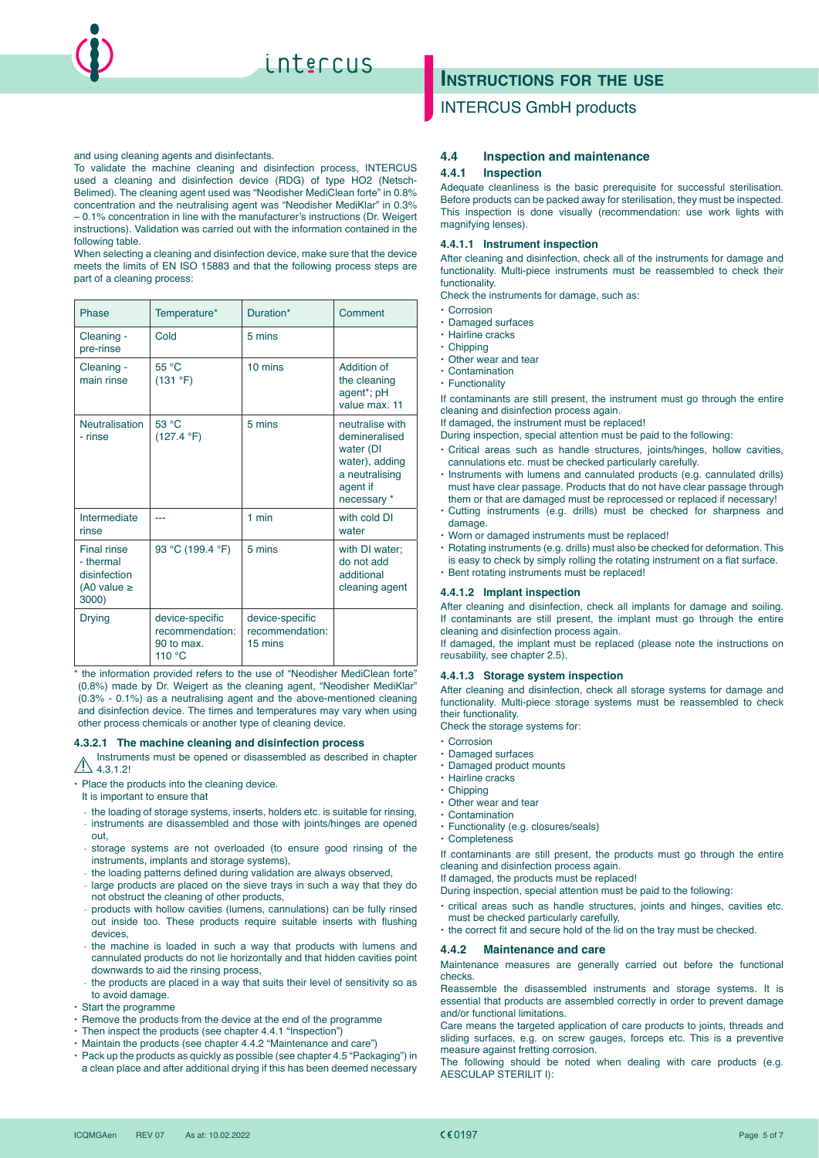

To validate the machine cleaning and disinfection process, INTERCUS used a cleaning and disinfection device (RDG) of type HO2 (Netsch-Belimed). The cleaning agent used was "Neodisher MediClean forte" in 0.8% concentration and the neutralising agent was "Neodisher MediKlar" in 0.3% – 0.1% concentration in line with the manufacturer's instructions (Dr. Weigert instructions). Validation was carried out with the information contained in the following table.

When selecting a cleaning and disinfection device, make sure that the device meets the limits of EN ISO 15883 and that the following process steps are part of a cleaning process:

| Phase                                                                       | Temperature*                                               | Duration*                                     | Comment                                                                                                      |
|-----------------------------------------------------------------------------|------------------------------------------------------------|-----------------------------------------------|--------------------------------------------------------------------------------------------------------------|
| Cleaning -<br>pre-rinse                                                     | Cold                                                       | 5 mins                                        |                                                                                                              |
| Cleaning -<br>main rinse                                                    | 55 °C<br>(131 °F)                                          | $10 \text{ mins}$                             | Addition of<br>the cleaning<br>agent*; pH<br>value max. 11                                                   |
| <b>Neutralisation</b><br>- rinse                                            | 53 °C<br>(127.4 °F)                                        | 5 mins                                        | neutralise with<br>demineralised<br>water (DI<br>water), adding<br>a neutralising<br>agent if<br>necessary * |
| Intermediate<br>rinse                                                       |                                                            | $1$ min                                       | with cold DI<br>water                                                                                        |
| <b>Final rinse</b><br>- thermal<br>disinfection<br>(A0 value $\ge$<br>3000) | 93 °C (199.4 °F)                                           | 5 mins                                        | with DI water;<br>do not add<br>additional<br>cleaning agent                                                 |
| <b>Drying</b>                                                               | device-specific<br>recommendation:<br>90 to max.<br>110 °C | device-specific<br>recommendation:<br>15 mins |                                                                                                              |

\* the information provided refers to the use of "Neodisher MediClean forte" (0.8%) made by Dr. Weigert as the cleaning agent, "Neodisher MediKlar" (0.3% - 0.1%) as a neutralising agent and the above-mentioned cleaning and disinfection device. The times and temperatures may vary when using other process chemicals or another type of cleaning device.

#### **4.3.2.1 The machine cleaning and disinfection process**

Instruments must be opened or disassembled as described in chapter  $A$  4.3.1.2!

• Place the products into the cleaning device.

- It is important to ensure that
- the loading of storage systems, inserts, holders etc. is suitable for rinsing,
- instruments are disassembled and those with joints/hinges are opened out,
- storage systems are not overloaded (to ensure good rinsing of the instruments, implants and storage systems),
- the loading patterns defined during validation are always observed,
- large products are placed on the sieve trays in such a way that they do not obstruct the cleaning of other products,
- products with hollow cavities (lumens, cannulations) can be fully rinsed out inside too. These products require suitable inserts with flushing devices,
- the machine is loaded in such a way that products with lumens and cannulated products do not lie horizontally and that hidden cavities point downwards to aid the rinsing process,
- the products are placed in a way that suits their level of sensitivity so as to avoid damage.
- $\cdot$  Start the programme
- $\cdot$  Remove the products from the device at the end of the programme
- Then inspect the products (see chapter 4.4.1 "Inspection")
- x Maintain the products (see chapter 4.4.2 "Maintenance and care")
- x Pack up the products as quickly as possible (see chapter 4.5 "Packaging") in
- a clean place and after additional drying if this has been deemed necessary

# **Instructions for the use**

## INTERCUS GmbH products

#### **4.4 Inspection and maintenance**

#### **4.4.1 Inspection**

Adequate cleanliness is the basic prerequisite for successful sterilisation. Before products can be packed away for sterilisation, they must be inspected. This inspection is done visually (recommendation: use work lights with magnifying lenses).

#### **4.4.1.1 Instrument inspection**

After cleaning and disinfection, check all of the instruments for damage and functionality. Multi-piece instruments must be reassembled to check their functionality.

Check the instruments for damage, such as:

- $\cdot$  Corrosion
- x Damaged surfaces
- · Hairline cracks
- $\cdot$  Chipping
- $\cdot$  Other wear and tear
- $\cdot$  Contamination
- Functionality

If contaminants are still present, the instrument must go through the entire cleaning and disinfection process again.

If damaged, the instrument must be replaced!

- During inspection, special attention must be paid to the following:
- · Critical areas such as handle structures, joints/hinges, hollow cavities, cannulations etc. must be checked particularly carefully.
- x Instruments with lumens and cannulated products (e.g. cannulated drills) must have clear passage. Products that do not have clear passage through them or that are damaged must be reprocessed or replaced if necessary!
- x Cutting instruments (e.g. drills) must be checked for sharpness and damage.
- x Worn or damaged instruments must be replaced!
- x Rotating instruments (e.g. drills) must also be checked for deformation. This is easy to check by simply rolling the rotating instrument on a flat surface.
- **Bent rotating instruments must be replaced!**

#### **4.4.1.2 Implant inspection**

After cleaning and disinfection, check all implants for damage and soiling. If contaminants are still present, the implant must go through the entire cleaning and disinfection process again.

If damaged, the implant must be replaced (please note the instructions on reusability, see chapter 2.5).

#### **4.4.1.3 Storage system inspection**

After cleaning and disinfection, check all storage systems for damage and functionality. Multi-piece storage systems must be reassembled to check their functionality.

Check the storage systems for:

- **· Corrosion**
- x Damaged surfaces
- x Damaged product mounts
- Hairline cracks
- $\cdot$  Chipping
- $\cdot$  Other wear and tear
- $\cdot$  Contamination
- x Functionality (e.g. closures/seals)
- x Completeness

If contaminants are still present, the products must go through the entire cleaning and disinfection process again.

If damaged, the products must be replaced!

- During inspection, special attention must be paid to the following:
- · critical areas such as handle structures, joints and hinges, cavities etc. must be checked particularly carefully,
- $\cdot$  the correct fit and secure hold of the lid on the tray must be checked.

#### **4.4.2 Maintenance and care**

Maintenance measures are generally carried out before the functional checks.

Reassemble the disassembled instruments and storage systems. It is essential that products are assembled correctly in order to prevent damage and/or functional limitations.

Care means the targeted application of care products to joints, threads and sliding surfaces, e.g. on screw gauges, forceps etc. This is a preventive measure against fretting corrosion.

The following should be noted when dealing with care products (e.g. AESCULAP STERILIT I):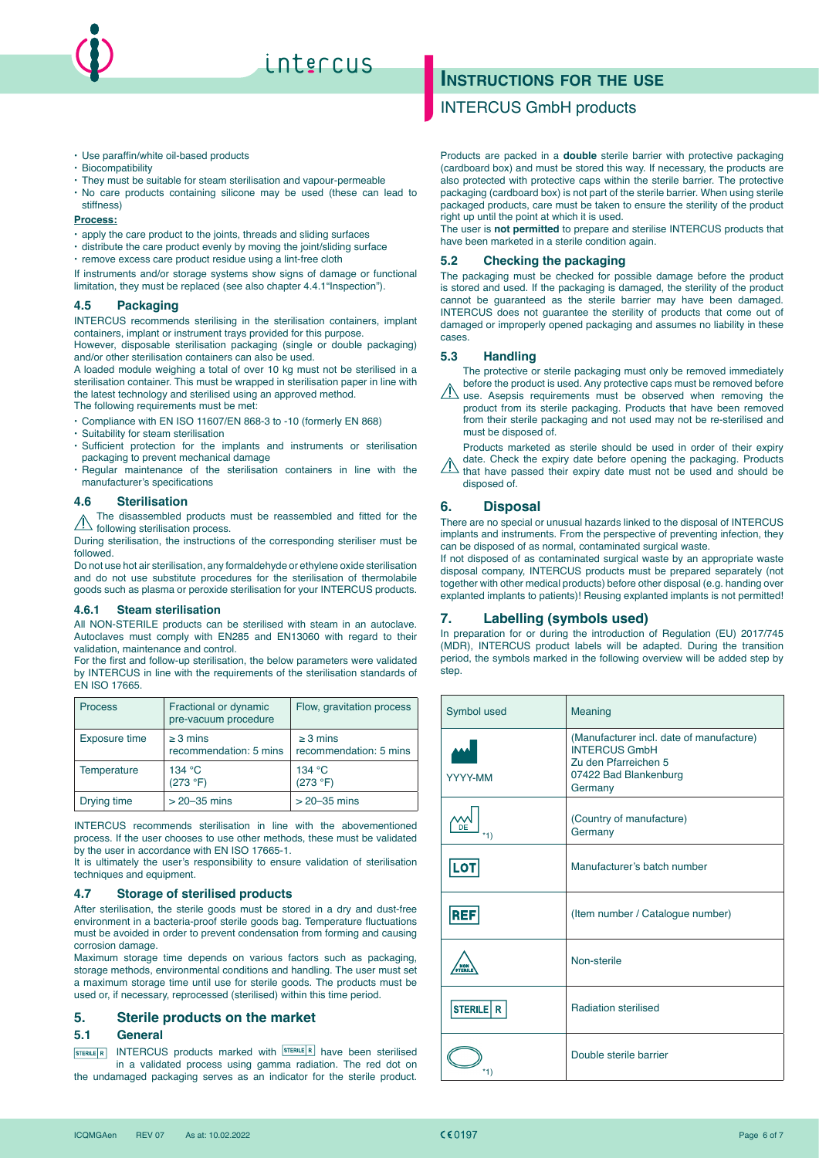

# intercus

- $\cdot$  Use paraffin/white oil-based products
- x Biocompatibility
- $\cdot$  They must be suitable for steam sterilisation and vapour-permeable
- · No care products containing silicone may be used (these can lead to stiffness)

#### **Process:**

 $\cdot$  apply the care product to the joints, threads and sliding surfaces

- $\cdot$  distribute the care product evenly by moving the joint/sliding surface
- remove excess care product residue using a lint-free cloth

If instruments and/or storage systems show signs of damage or functional limitation, they must be replaced (see also chapter 4.4.1"Inspection").

## **4.5 Packaging**

INTERCUS recommends sterilising in the sterilisation containers, implant containers, implant or instrument trays provided for this purpose.

However, disposable sterilisation packaging (single or double packaging) and/or other sterilisation containers can also be used.

A loaded module weighing a total of over 10 kg must not be sterilised in a sterilisation container. This must be wrapped in sterilisation paper in line with the latest technology and sterilised using an approved method.

The following requirements must be met:

- x Compliance with EN ISO 11607/EN 868-3 to -10 (formerly EN 868)
- x Suitability for steam sterilisation
- · Sufficient protection for the implants and instruments or sterilisation packaging to prevent mechanical damage
- x Regular maintenance of the sterilisation containers in line with the manufacturer's specifications

#### **4.6 Sterilisation**

The disassembled products must be reassembled and fitted for the **following sterilisation process.** 

During sterilisation, the instructions of the corresponding steriliser must be followed.

Do not use hot air sterilisation, any formaldehyde or ethylene oxide sterilisation and do not use substitute procedures for the sterilisation of thermolabile goods such as plasma or peroxide sterilisation for your INTERCUS products.

#### **4.6.1 Steam sterilisation**

All NON-STERILE products can be sterilised with steam in an autoclave. Autoclaves must comply with EN285 and EN13060 with regard to their validation, maintenance and control.

For the first and follow-up sterilisation, the below parameters were validated by INTERCUS in line with the requirements of the sterilisation standards of EN ISO 17665.

| <b>Process</b> | Fractional or dynamic<br>pre-vacuum procedure | Flow, gravitation process               |
|----------------|-----------------------------------------------|-----------------------------------------|
| Exposure time  | $\geq$ 3 mins<br>recommendation: 5 mins       | $\geq$ 3 mins<br>recommendation: 5 mins |
| Temperature    | 134 °C<br>(273 °F)                            | 134 °C<br>(273 °F)                      |
| Drying time    | $>$ 20 $-35$ mins                             | $>$ 20 $-35$ mins                       |

INTERCUS recommends sterilisation in line with the abovementioned process. If the user chooses to use other methods, these must be validated by the user in accordance with EN ISO 17665-1.

It is ultimately the user's responsibility to ensure validation of sterilisation techniques and equipment.

#### **4.7 Storage of sterilised products**

After sterilisation, the sterile goods must be stored in a dry and dust-free environment in a bacteria-proof sterile goods bag. Temperature fluctuations must be avoided in order to prevent condensation from forming and causing corrosion damage.

Maximum storage time depends on various factors such as packaging, storage methods, environmental conditions and handling. The user must set a maximum storage time until use for sterile goods. The products must be used or, if necessary, reprocessed (sterilised) within this time period.

#### **5. Sterile products on the market**

#### **5.1 General**

 $INTERCUS$  products marked with  $STERILE/R$  have been sterilised STERILE R in a validated process using gamma radiation. The red dot on the undamaged packaging serves as an indicator for the sterile product.

# **INSTRUCTIONS FOR THE USE**

## INTERCUS GmbH products

Products are packed in a **double** sterile barrier with protective packaging (cardboard box) and must be stored this way. If necessary, the products are also protected with protective caps within the sterile barrier. The protective packaging (cardboard box) is not part of the sterile barrier. When using sterile packaged products, care must be taken to ensure the sterility of the product right up until the point at which it is used.

The user is **not permitted** to prepare and sterilise INTERCUS products that have been marketed in a sterile condition again.

#### **5.2 Checking the packaging**

The packaging must be checked for possible damage before the product is stored and used. If the packaging is damaged, the sterility of the product cannot be guaranteed as the sterile barrier may have been damaged. INTERCUS does not guarantee the sterility of products that come out of damaged or improperly opened packaging and assumes no liability in these cases.

#### **5.3 Handling**

The protective or sterile packaging must only be removed immediately before the product is used. Any protective caps must be removed before

 $\langle \textrm{!} \rangle$  use. Asepsis requirements must be observed when removing the product from its sterile packaging. Products that have been removed from their sterile packaging and not used may not be re-sterilised and must be disposed of.

Products marketed as sterile should be used in order of their expiry date. Check the expiry date before opening the packaging. Products

that have passed their expiry date must not be used and should be disposed of.

## **6. Disposal**

There are no special or unusual hazards linked to the disposal of INTERCUS implants and instruments. From the perspective of preventing infection, they can be disposed of as normal, contaminated surgical waste.

If not disposed of as contaminated surgical waste by an appropriate waste disposal company, INTERCUS products must be prepared separately (not together with other medical products) before other disposal (e.g. handing over explanted implants to patients)! Reusing explanted implants is not permitted!

#### **7. Labelling (symbols used)**

In preparation for or during the introduction of Regulation (EU) 2017/745 (MDR), INTERCUS product labels will be adapted. During the transition period, the symbols marked in the following overview will be added step by step

| Symbol used                  | Meaning                                                                                                                      |
|------------------------------|------------------------------------------------------------------------------------------------------------------------------|
| YYYY-MM                      | (Manufacturer incl. date of manufacture)<br><b>INTERCUS GmbH</b><br>Zu den Pfarreichen 5<br>07422 Bad Blankenburg<br>Germany |
| *1)                          | (Country of manufacture)<br>Germany                                                                                          |
| <b>LOT</b>                   | Manufacturer's batch number                                                                                                  |
| <b>REF</b>                   | (Item number / Catalogue number)                                                                                             |
| <b>NON</b><br><b>STERILE</b> | Non-sterile                                                                                                                  |
| STERILE R                    | <b>Radiation sterilised</b>                                                                                                  |
|                              | Double sterile barrier                                                                                                       |